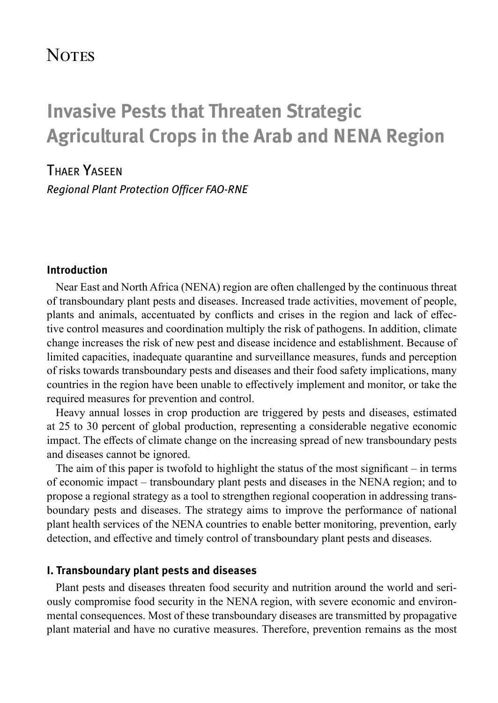# **NOTES**

# **Invasive Pests that Threaten Strategic Agricultural Crops in the Arab and NENA Region**

## Thaer Yaseen

*Regional Plant Protection Officer FAO-RNE* 

#### **Introduction**

Near East and North Africa (NENA) region are often challenged by the continuous threat of transboundary plant pests and diseases. Increased trade activities, movement of people, plants and animals, accentuated by conflicts and crises in the region and lack of effective control measures and coordination multiply the risk of pathogens. In addition, climate change increases the risk of new pest and disease incidence and establishment. Because of limited capacities, inadequate quarantine and surveillance measures, funds and perception of risks towards transboundary pests and diseases and their food safety implications, many countries in the region have been unable to effectively implement and monitor, or take the required measures for prevention and control.

Heavy annual losses in crop production are triggered by pests and diseases, estimated at 25 to 30 percent of global production, representing a considerable negative economic impact. The effects of climate change on the increasing spread of new transboundary pests and diseases cannot be ignored.

The aim of this paper is twofold to highlight the status of the most significant – in terms of economic impact – transboundary plant pests and diseases in the NENA region; and to propose a regional strategy as a tool to strengthen regional cooperation in addressing transboundary pests and diseases. The strategy aims to improve the performance of national plant health services of the NENA countries to enable better monitoring, prevention, early detection, and effective and timely control of transboundary plant pests and diseases.

#### **I. Transboundary plant pests and diseases**

Plant pests and diseases threaten food security and nutrition around the world and seriously compromise food security in the NENA region, with severe economic and environmental consequences. Most of these transboundary diseases are transmitted by propagative plant material and have no curative measures. Therefore, prevention remains as the most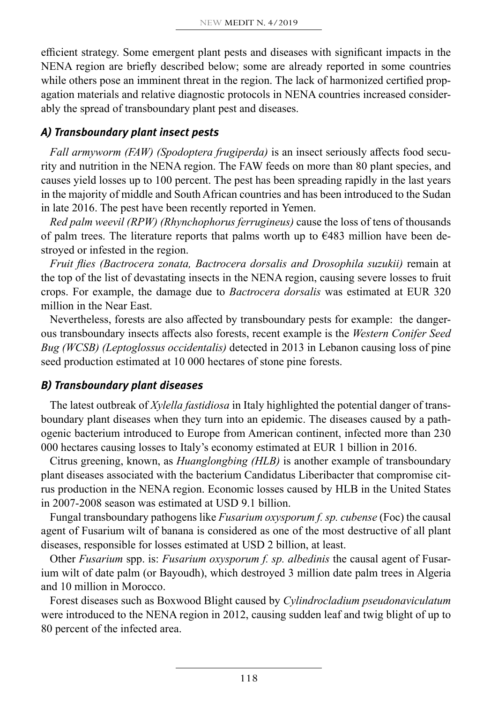efficient strategy. Some emergent plant pests and diseases with significant impacts in the NENA region are briefly described below; some are already reported in some countries while others pose an imminent threat in the region. The lack of harmonized certified propagation materials and relative diagnostic protocols in NENA countries increased considerably the spread of transboundary plant pest and diseases.

#### *A) Transboundary plant insect pests*

*Fall armyworm (FAW) (Spodoptera frugiperda)* is an insect seriously affects food security and nutrition in the NENA region. The FAW feeds on more than 80 plant species, and causes yield losses up to 100 percent. The pest has been spreading rapidly in the last years in the majority of middle and South African countries and has been introduced to the Sudan in late 2016. The pest have been recently reported in Yemen.

*Red palm weevil (RPW) (Rhynchophorus ferrugineus)* cause the loss of tens of thousands of palm trees. The literature reports that palms worth up to  $\epsilon$ 483 million have been destroyed or infested in the region.

*Fruit flies (Bactrocera zonata, Bactrocera dorsalis and Drosophila suzukii)* remain at the top of the list of devastating insects in the NENA region, causing severe losses to fruit crops. For example, the damage due to *Bactrocera dorsalis* was estimated at EUR 320 million in the Near East.

Nevertheless, forests are also affected by transboundary pests for example: the dangerous transboundary insects affects also forests, recent example is the *Western Conifer Seed Bug (WCSB) (Leptoglossus occidentalis)* detected in 2013 in Lebanon causing loss of pine seed production estimated at 10 000 hectares of stone pine forests.

## *B) Transboundary plant diseases*

The latest outbreak of *Xylella fastidiosa* in Italy highlighted the potential danger of transboundary plant diseases when they turn into an epidemic. The diseases caused by a pathogenic bacterium introduced to Europe from American continent, infected more than 230 000 hectares causing losses to Italy's economy estimated at EUR 1 billion in 2016.

Citrus greening, known, as *Huanglongbing (HLB)* is another example of transboundary plant diseases associated with the bacterium Candidatus Liberibacter that compromise citrus production in the NENA region. Economic losses caused by HLB in the United States in 2007-2008 season was estimated at USD 9.1 billion.

Fungal transboundary pathogens like *Fusarium oxysporum f. sp. cubense* (Foc) the causal agent of Fusarium wilt of banana is considered as one of the most destructive of all plant diseases, responsible for losses estimated at USD 2 billion, at least.

Other *Fusarium* spp. is: *Fusarium oxysporum f. sp. albedinis* the causal agent of Fusarium wilt of date palm (or Bayoudh), which destroyed 3 million date palm trees in Algeria and 10 million in Morocco.

Forest diseases such as Boxwood Blight caused by *Cylindrocladium pseudonaviculatum* were introduced to the NENA region in 2012, causing sudden leaf and twig blight of up to 80 percent of the infected area.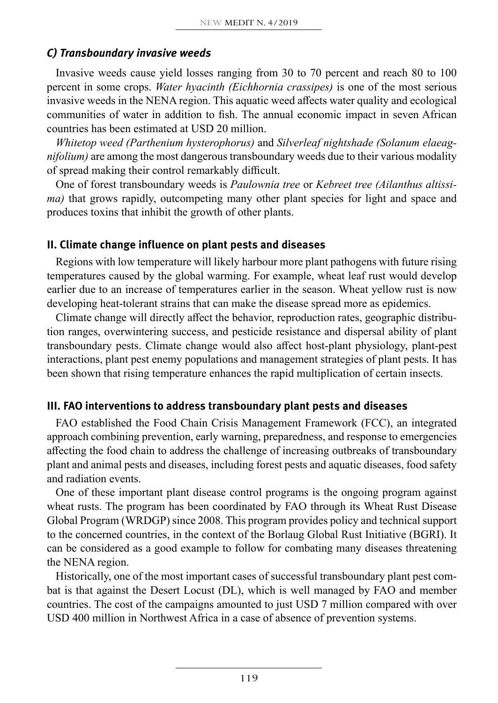## *C) Transboundary invasive weeds*

Invasive weeds cause yield losses ranging from 30 to 70 percent and reach 80 to 100 percent in some crops. *Water hyacinth (Eichhornia crassipes)* is one of the most serious invasive weeds in the NENA region. This aquatic weed affects water quality and ecological communities of water in addition to fish. The annual economic impact in seven African countries has been estimated at USD 20 million.

*Whitetop weed (Parthenium hysterophorus)* and *Silverleaf nightshade (Solanum elaeagnifolium)* are among the most dangerous transboundary weeds due to their various modality of spread making their control remarkably difficult.

One of forest transboundary weeds is *Paulownia tree* or *Kebreet tree (Ailanthus altissima*) that grows rapidly, outcompeting many other plant species for light and space and produces toxins that inhibit the growth of other plants.

#### **II. Climate change influence on plant pests and diseases**

Regions with low temperature will likely harbour more plant pathogens with future rising temperatures caused by the global warming. For example, wheat leaf rust would develop earlier due to an increase of temperatures earlier in the season. Wheat yellow rust is now developing heat-tolerant strains that can make the disease spread more as epidemics.

Climate change will directly affect the behavior, reproduction rates, geographic distribution ranges, overwintering success, and pesticide resistance and dispersal ability of plant transboundary pests. Climate change would also affect host-plant physiology, plant-pest interactions, plant pest enemy populations and management strategies of plant pests. It has been shown that rising temperature enhances the rapid multiplication of certain insects.

## **III. FAO interventions to address transboundary plant pests and diseases**

FAO established the Food Chain Crisis Management Framework (FCC), an integrated approach combining prevention, early warning, preparedness, and response to emergencies affecting the food chain to address the challenge of increasing outbreaks of transboundary plant and animal pests and diseases, including forest pests and aquatic diseases, food safety and radiation events.

One of these important plant disease control programs is the ongoing program against wheat rusts. The program has been coordinated by FAO through its Wheat Rust Disease Global Program (WRDGP) since 2008. This program provides policy and technical support to the concerned countries, in the context of the Borlaug Global Rust Initiative (BGRI). It can be considered as a good example to follow for combating many diseases threatening the NENA region.

Historically, one of the most important cases of successful transboundary plant pest combat is that against the Desert Locust (DL), which is well managed by FAO and member countries. The cost of the campaigns amounted to just USD 7 million compared with over USD 400 million in Northwest Africa in a case of absence of prevention systems.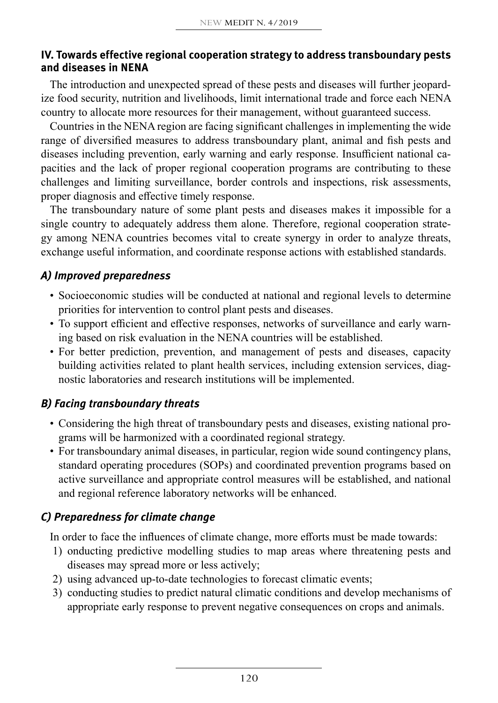#### **IV. Towards effective regional cooperation strategy to address transboundary pests and diseases in NENA**

The introduction and unexpected spread of these pests and diseases will further jeopardize food security, nutrition and livelihoods, limit international trade and force each NENA country to allocate more resources for their management, without guaranteed success.

Countries in the NENA region are facing significant challenges in implementing the wide range of diversified measures to address transboundary plant, animal and fish pests and diseases including prevention, early warning and early response. Insufficient national capacities and the lack of proper regional cooperation programs are contributing to these challenges and limiting surveillance, border controls and inspections, risk assessments, proper diagnosis and effective timely response.

The transboundary nature of some plant pests and diseases makes it impossible for a single country to adequately address them alone. Therefore, regional cooperation strategy among NENA countries becomes vital to create synergy in order to analyze threats, exchange useful information, and coordinate response actions with established standards.

## *A) Improved preparedness*

- Socioeconomic studies will be conducted at national and regional levels to determine priorities for intervention to control plant pests and diseases.
- To support efficient and effective responses, networks of surveillance and early warning based on risk evaluation in the NENA countries will be established.
- For better prediction, prevention, and management of pests and diseases, capacity building activities related to plant health services, including extension services, diagnostic laboratories and research institutions will be implemented.

## *B) Facing transboundary threats*

- Considering the high threat of transboundary pests and diseases, existing national programs will be harmonized with a coordinated regional strategy.
- For transboundary animal diseases, in particular, region wide sound contingency plans, standard operating procedures (SOPs) and coordinated prevention programs based on active surveillance and appropriate control measures will be established, and national and regional reference laboratory networks will be enhanced.

## *C) Preparedness for climate change*

In order to face the influences of climate change, more efforts must be made towards:

- 1) onducting predictive modelling studies to map areas where threatening pests and diseases may spread more or less actively;
- 2) using advanced up-to-date technologies to forecast climatic events;
- 3) conducting studies to predict natural climatic conditions and develop mechanisms of appropriate early response to prevent negative consequences on crops and animals.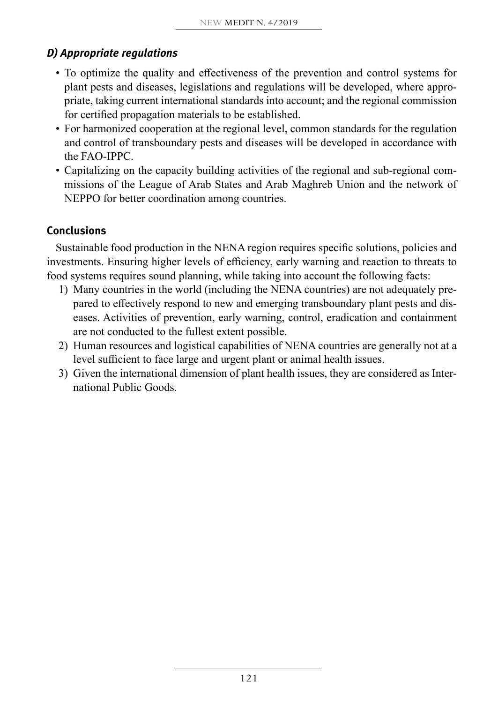# *D) Appropriate regulations*

- To optimize the quality and effectiveness of the prevention and control systems for plant pests and diseases, legislations and regulations will be developed, where appropriate, taking current international standards into account; and the regional commission for certified propagation materials to be established.
- For harmonized cooperation at the regional level, common standards for the regulation and control of transboundary pests and diseases will be developed in accordance with the FAO-IPPC.
- Capitalizing on the capacity building activities of the regional and sub-regional commissions of the League of Arab States and Arab Maghreb Union and the network of NEPPO for better coordination among countries.

## **Conclusions**

Sustainable food production in the NENA region requires specific solutions, policies and investments. Ensuring higher levels of efficiency, early warning and reaction to threats to food systems requires sound planning, while taking into account the following facts:

- 1) Many countries in the world (including the NENA countries) are not adequately prepared to effectively respond to new and emerging transboundary plant pests and diseases. Activities of prevention, early warning, control, eradication and containment are not conducted to the fullest extent possible.
- 2) Human resources and logistical capabilities of NENA countries are generally not at a level sufficient to face large and urgent plant or animal health issues.
- 3) Given the international dimension of plant health issues, they are considered as International Public Goods.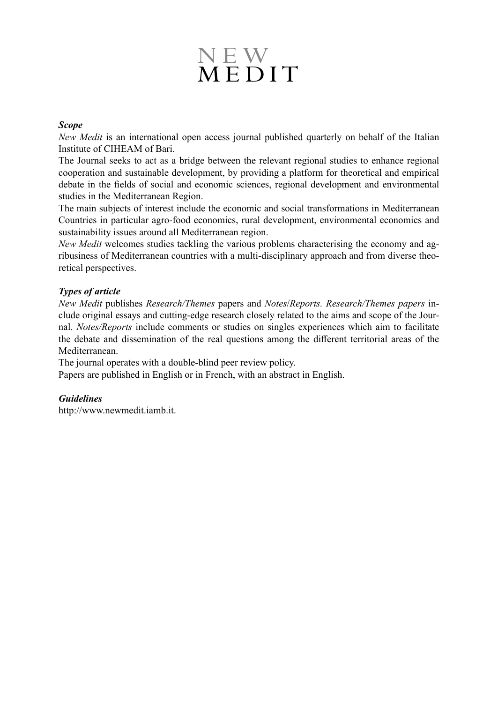# NEW MEDIT

#### *Scope*

*New Medit* is an international open access journal published quarterly on behalf of the Italian Institute of CIHEAM of Bari.

The Journal seeks to act as a bridge between the relevant regional studies to enhance regional cooperation and sustainable development, by providing a platform for theoretical and empirical debate in the fields of social and economic sciences, regional development and environmental studies in the Mediterranean Region.

The main subjects of interest include the economic and social transformations in Mediterranean Countries in particular agro-food economics, rural development, environmental economics and sustainability issues around all Mediterranean region.

*New Medit* welcomes studies tackling the various problems characterising the economy and agribusiness of Mediterranean countries with a multi-disciplinary approach and from diverse theoretical perspectives.

#### *Types of article*

*New Medit* publishes *Research/Themes* papers and *Notes*/*Reports. Research/Themes papers* include original essays and cutting-edge research closely related to the aims and scope of the Journal*. Notes/Reports* include comments or studies on singles experiences which aim to facilitate the debate and dissemination of the real questions among the different territorial areas of the Mediterranean.

The journal operates with a double-blind peer review policy.

Papers are published in English or in French, with an abstract in English.

#### *Guidelines*

http://www.newmedit.iamb.it.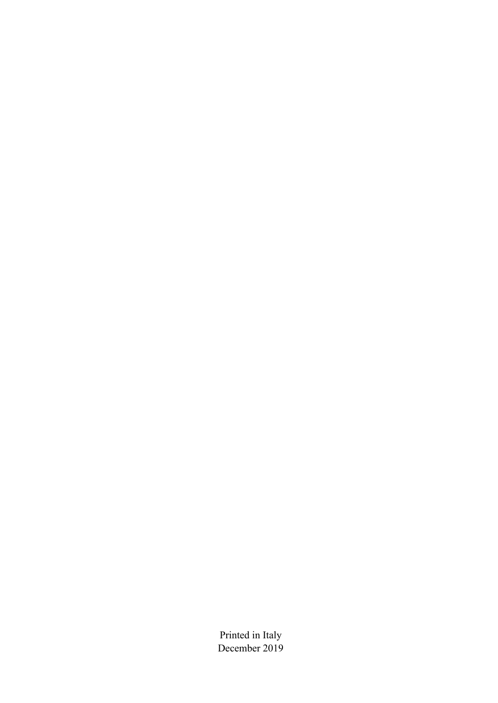Printed in Italy December 2019